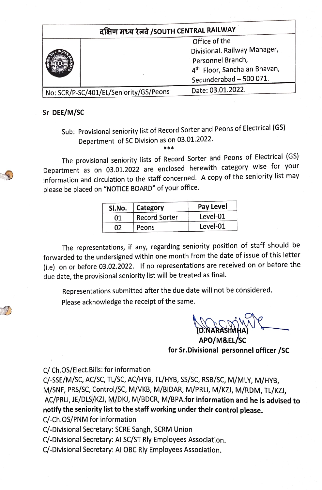| दक्षिण मध्य रेलवे /SOUTH CENTRAL RAILWAY |  |                                          |  |  |  |  |
|------------------------------------------|--|------------------------------------------|--|--|--|--|
|                                          |  | Office of the                            |  |  |  |  |
|                                          |  | Divisional. Railway Manager,             |  |  |  |  |
|                                          |  | Personnel Branch,                        |  |  |  |  |
|                                          |  | 4 <sup>th</sup> Floor, Sanchalan Bhavan, |  |  |  |  |
|                                          |  | Secunderabad - 500 071.                  |  |  |  |  |
| No: SCR/P-SC/401/EL/Seniority/GS/Peons   |  | Date: 03.01.2022.                        |  |  |  |  |
|                                          |  |                                          |  |  |  |  |

## Sr DEE/M/SC

Sub: Provisional seniority list of Record Sorter and Peons of Electrical (GS) Department of SC Division as on 03.01.2022.

\*\*\*

The provisional seniority lists of Record Sorter and Peons of Electrical (GS) Department as on 03.01.2022 are enclosed herewith category wise for your information and circulation to the staff concerned. A copy of the seniority list may please be placed on "NOTICE BOARD" of your office.

| SI.No. | Category             | Pay Level |
|--------|----------------------|-----------|
| 01     | <b>Record Sorter</b> | Level-01  |
| กว     | Peons                | Level-01  |

The representations, if any, regarding seniority position of staff should be forwarded to the undersigned within one month from the date of issue of this letter (i.e) on or before 03.02.2022. If no representations are received on or before the due date, the provisional seniority list will be treated as final.

Representations submitted after the due date will not be cónsidered. Please acknowledge the receipt of the same.

**(D.NARASIMHA** 

APO/M&EL/SC for Sr.Divisional personnel officer /sC

C/ Ch.OS/Elect. Bills: for information

-SSE/M/SC, AC/SC, TL/Sc, AC/HYB, TL/HYB, SS/SC, RSB/SC, M/MLY, M/HYB, M/SNF, PRS/SC, Control/Sc, M/VKB, M/BIDAR, M/PRL, M/KZI), M/RDM, TL/KZ), AC/PRUI, JE/DLS/KZI, M/DK, M/BDCR, M/8PA.for information and he is advised to notify the seniority list to the staff working under their control please.

C/-Ch.OS/PNM for information

C/-Divisional Secretary: SCRE Sangh, SCRM Union

C/-Divisional Secretary: Al SC/ST Rly Employees Association.

C/-Divisional Secretary: Al OBC Rly Employees Association.